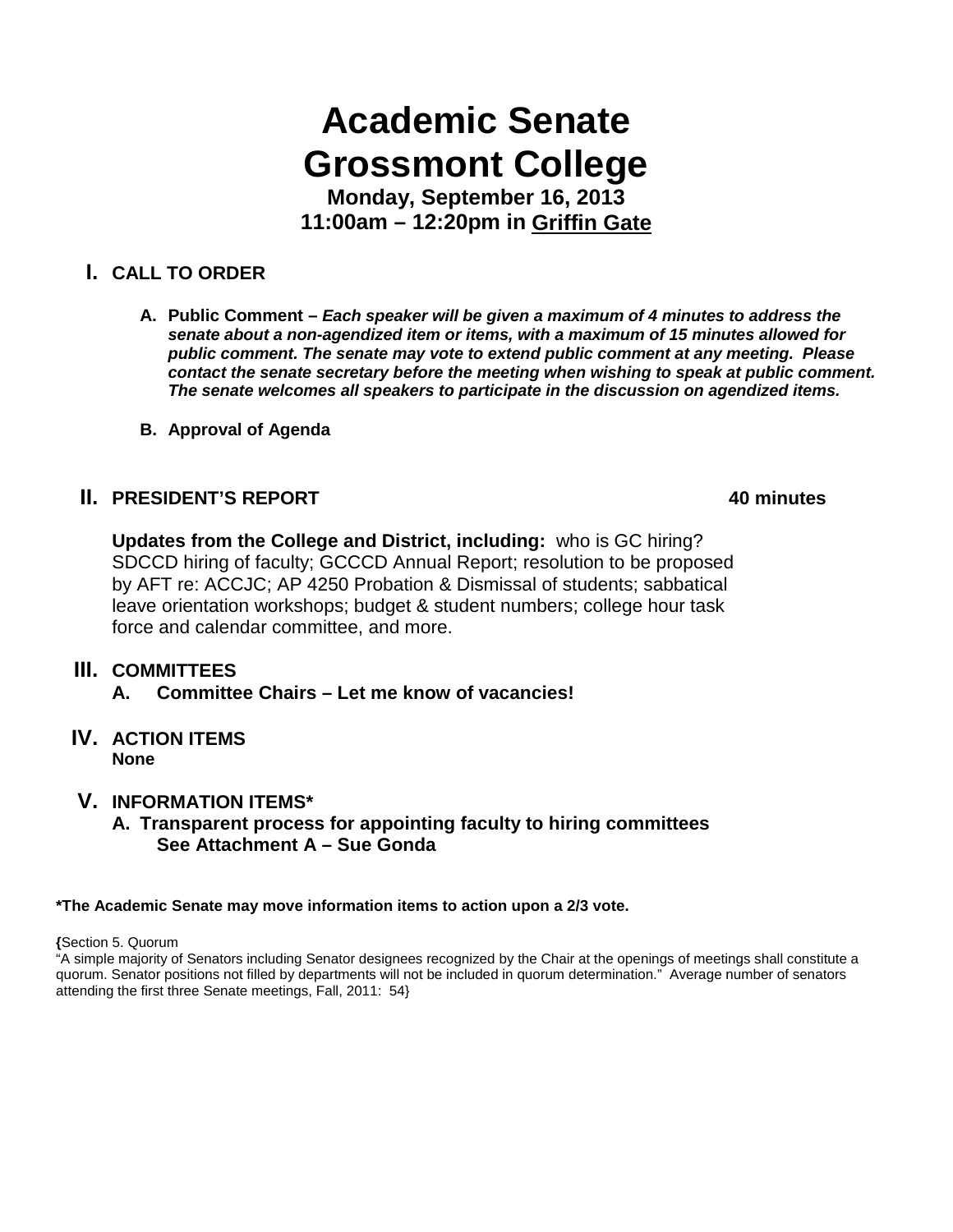# **Academic Senate Grossmont College**

**Monday, September 16, 2013 11:00am – 12:20pm in Griffin Gate**

# **I. CALL TO ORDER**

- **A. Public Comment –** *Each speaker will be given a maximum of 4 minutes to address the senate about a non-agendized item or items, with a maximum of 15 minutes allowed for public comment. The senate may vote to extend public comment at any meeting. Please contact the senate secretary before the meeting when wishing to speak at public comment. The senate welcomes all speakers to participate in the discussion on agendized items.*
- **B. Approval of Agenda**

# **II. PRESIDENT'S REPORT 40 minutes**

**Updates from the College and District, including:** who is GC hiring? SDCCD hiring of faculty; GCCCD Annual Report; resolution to be proposed by AFT re: ACCJC; AP 4250 Probation & Dismissal of students; sabbatical leave orientation workshops; budget & student numbers; college hour task force and calendar committee, and more.

### **III. COMMITTEES**

- **A. Committee Chairs – Let me know of vacancies!**
- **IV. ACTION ITEMS None**

### **V. INFORMATION ITEMS\***

**A. Transparent process for appointing faculty to hiring committees See Attachment A – Sue Gonda**

#### **\*The Academic Senate may move information items to action upon a 2/3 vote.**

**{**Section 5. Quorum

"A simple majority of Senators including Senator designees recognized by the Chair at the openings of meetings shall constitute a quorum. Senator positions not filled by departments will not be included in quorum determination." Average number of senators attending the first three Senate meetings, Fall, 2011: 54}